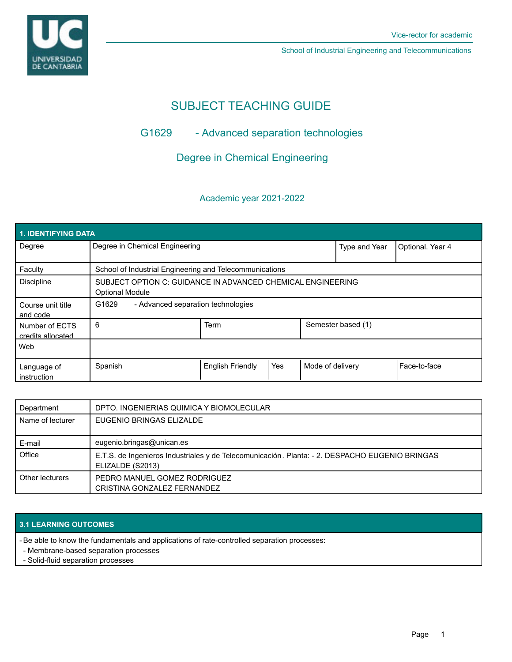UNIVERSIDAD<br>DE CANTABRIA

School of Industrial Engineering and Telecommunications

# SUBJECT TEACHING GUIDE

## G1629 - Advanced separation technologies

Degree in Chemical Engineering

## Academic year 2021-2022

| 1. IDENTIFYING DATA                 |                                                                                       |                         |     |                  |                    |                  |  |  |  |
|-------------------------------------|---------------------------------------------------------------------------------------|-------------------------|-----|------------------|--------------------|------------------|--|--|--|
| Degree                              | Degree in Chemical Engineering                                                        |                         |     |                  | Type and Year      | Optional. Year 4 |  |  |  |
| Faculty                             | School of Industrial Engineering and Telecommunications                               |                         |     |                  |                    |                  |  |  |  |
| <b>Discipline</b>                   | SUBJECT OPTION C: GUIDANCE IN ADVANCED CHEMICAL ENGINEERING<br><b>Optional Module</b> |                         |     |                  |                    |                  |  |  |  |
| Course unit title<br>and code       | G1629<br>- Advanced separation technologies                                           |                         |     |                  |                    |                  |  |  |  |
| Number of ECTS<br>credits allocated | 6                                                                                     | <b>Term</b>             |     |                  | Semester based (1) |                  |  |  |  |
| Web                                 |                                                                                       |                         |     |                  |                    |                  |  |  |  |
| Language of<br>instruction          | Spanish                                                                               | <b>English Friendly</b> | Yes | Mode of delivery |                    | l Face-to-face   |  |  |  |

| Department       | DPTO. INGENIERIAS QUIMICA Y BIOMOLECULAR                                                                           |
|------------------|--------------------------------------------------------------------------------------------------------------------|
| Name of lecturer | EUGENIO BRINGAS ELIZALDE                                                                                           |
| E-mail           | eugenio.bringas@unican.es                                                                                          |
| Office           | E.T.S. de Ingenieros Industriales y de Telecomunicación. Planta: - 2. DESPACHO EUGENIO BRINGAS<br>ELIZALDE (S2013) |
| Other lecturers  | PEDRO MANUEL GOMEZ RODRIGUEZ<br>CRISTINA GONZALEZ FERNANDEZ                                                        |

## **3.1 LEARNING OUTCOMES**

- Be able to know the fundamentals and applications of rate-controlled separation processes:

- Membrane-based separation processes
- Solid-fluid separation processes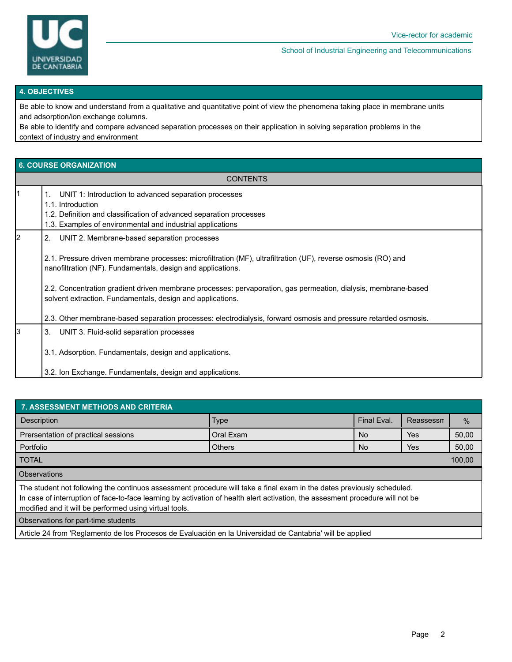

School of Industrial Engineering and Telecommunications

#### **4. OBJECTIVES**

Be able to know and understand from a qualitative and quantitative point of view the phenomena taking place in membrane units and adsorption/ion exchange columns.

Be able to identify and compare advanced separation processes on their application in solving separation problems in the context of industry and environment

## **6. COURSE ORGANIZATION**

| <b>CONTENTS</b> |                                                                                                                                                                                                                                                                                                                                                                                                                                                                                                                                      |  |  |
|-----------------|--------------------------------------------------------------------------------------------------------------------------------------------------------------------------------------------------------------------------------------------------------------------------------------------------------------------------------------------------------------------------------------------------------------------------------------------------------------------------------------------------------------------------------------|--|--|
|                 | UNIT 1: Introduction to advanced separation processes<br>1.<br>1.1. Introduction<br>1.2. Definition and classification of advanced separation processes<br>1.3. Examples of environmental and industrial applications                                                                                                                                                                                                                                                                                                                |  |  |
| 2               | UNIT 2. Membrane-based separation processes<br>2.<br>2.1. Pressure driven membrane processes: microfiltration (MF), ultrafiltration (UF), reverse osmosis (RO) and<br>nanofiltration (NF). Fundamentals, design and applications.<br>2.2. Concentration gradient driven membrane processes: pervaporation, gas permeation, dialysis, membrane-based<br>solvent extraction. Fundamentals, design and applications.<br>2.3. Other membrane-based separation processes: electrodialysis, forward osmosis and pressure retarded osmosis. |  |  |
| l3              | 3. UNIT 3. Fluid-solid separation processes<br>3.1. Adsorption. Fundamentals, design and applications.<br>3.2. Ion Exchange. Fundamentals, design and applications.                                                                                                                                                                                                                                                                                                                                                                  |  |  |

| <b>7. ASSESSMENT METHODS AND CRITERIA</b>                                                                                                                                                                                                                                                                          |               |           |            |               |  |  |  |  |  |
|--------------------------------------------------------------------------------------------------------------------------------------------------------------------------------------------------------------------------------------------------------------------------------------------------------------------|---------------|-----------|------------|---------------|--|--|--|--|--|
| <b>Description</b>                                                                                                                                                                                                                                                                                                 | <b>Type</b>   |           | Reassessn  | $\frac{0}{6}$ |  |  |  |  |  |
| Prersentation of practical sessions                                                                                                                                                                                                                                                                                | Oral Exam     | <b>No</b> | Yes        | 50,00         |  |  |  |  |  |
| Portfolio                                                                                                                                                                                                                                                                                                          | <b>Others</b> | <b>No</b> | <b>Yes</b> | 50,00         |  |  |  |  |  |
| <b>TOTAL</b>                                                                                                                                                                                                                                                                                                       |               |           |            |               |  |  |  |  |  |
| <b>Observations</b>                                                                                                                                                                                                                                                                                                |               |           |            |               |  |  |  |  |  |
| The student not following the continuos assessment procedure will take a final exam in the dates previously scheduled.<br>In case of interruption of face-to-face learning by activation of health alert activation, the assesment procedure will not be<br>modified and it will be performed using virtual tools. |               |           |            |               |  |  |  |  |  |
| Observations for part-time students                                                                                                                                                                                                                                                                                |               |           |            |               |  |  |  |  |  |

Article 24 from 'Reglamento de los Procesos de Evaluación en la Universidad de Cantabria' will be applied